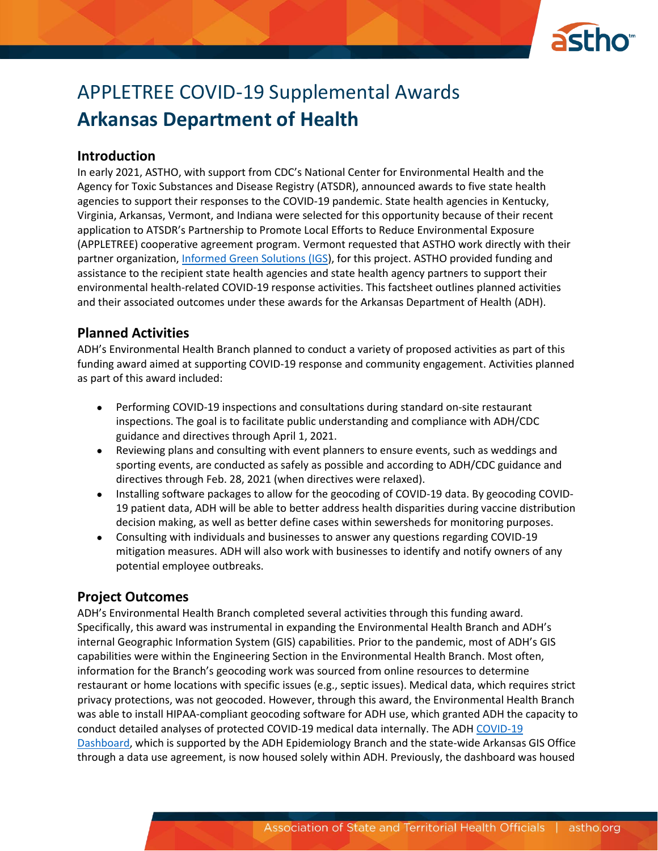

# APPLETREE COVID-19 Supplemental Awards **Arkansas Department of Health**

#### **Introduction**

In early 2021, ASTHO, with support from CDC's National Center for Environmental Health and the Agency for Toxic Substances and Disease Registry (ATSDR), announced awards to five state health agencies to support their responses to the COVID-19 pandemic. State health agencies in Kentucky, Virginia, Arkansas, Vermont, and Indiana were selected for this opportunity because of their recent application to ATSDR's Partnership to Promote Local Efforts to Reduce Environmental Exposure (APPLETREE) cooperative agreement program. Vermont requested that ASTHO work directly with their partner organization, [Informed Green Solutions \(IGS\)](https://www.informedgreensolutions.org/), for this project. ASTHO provided funding and assistance to the recipient state health agencies and state health agency partners to support their environmental health-related COVID-19 response activities. This factsheet outlines planned activities and their associated outcomes under these awards for the Arkansas Department of Health (ADH).

### **Planned Activities**

ADH's Environmental Health Branch planned to conduct a variety of proposed activities as part of this funding award aimed at supporting COVID-19 response and community engagement. Activities planned as part of this award included:

- Performing COVID-19 inspections and consultations during standard on-site restaurant inspections. The goal is to facilitate public understanding and compliance with ADH/CDC guidance and directives through April 1, 2021.
- Reviewing plans and consulting with event planners to ensure events, such as weddings and sporting events, are conducted as safely as possible and according to ADH/CDC guidance and directives through Feb. 28, 2021 (when directives were relaxed).
- Installing software packages to allow for the geocoding of COVID-19 data. By geocoding COVID-19 patient data, ADH will be able to better address health disparities during vaccine distribution decision making, as well as better define cases within sewersheds for monitoring purposes.
- Consulting with individuals and businesses to answer any questions regarding COVID-19 mitigation measures. ADH will also work with businesses to identify and notify owners of any potential employee outbreaks.

## **Project Outcomes**

ADH's Environmental Health Branch completed several activities through this funding award. Specifically, this award was instrumental in expanding the Environmental Health Branch and ADH's internal Geographic Information System (GIS) capabilities. Prior to the pandemic, most of ADH's GIS capabilities were within the Engineering Section in the Environmental Health Branch. Most often, information for the Branch's geocoding work was sourced from online resources to determine restaurant or home locations with specific issues (e.g., septic issues). Medical data, which requires strict privacy protections, was not geocoded. However, through this award, the Environmental Health Branch was able to install HIPAA-compliant geocoding software for ADH use, which granted ADH the capacity to conduct detailed analyses of protected COVID-19 medical data internally. The ADH [COVID-19](https://experience.arcgis.com/experience/633006d0782b4544bd5113a314f6268a/)  [Dashboard,](https://experience.arcgis.com/experience/633006d0782b4544bd5113a314f6268a/) which is supported by the ADH Epidemiology Branch and the state-wide Arkansas GIS Office through a data use agreement, is now housed solely within ADH. Previously, the dashboard was housed